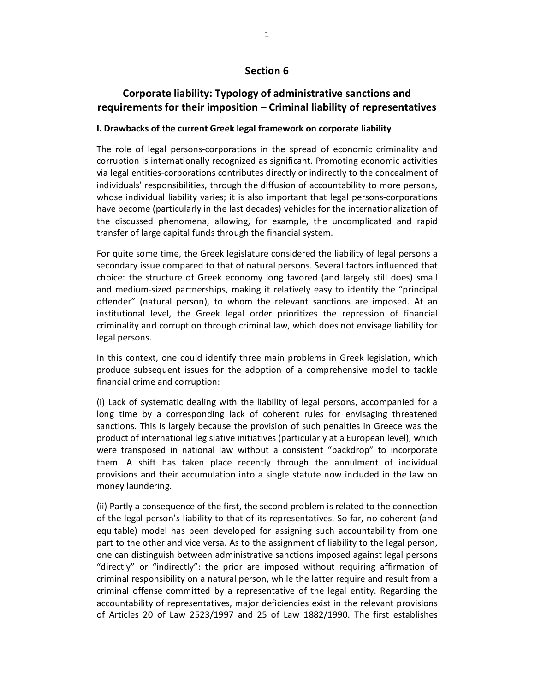# **Section 6**

# **Corporate liability: Typology of administrative sanctions and requirements for their imposition – Criminal liability of representatives**

### **I. Drawbacks of the current Greek legal framework on corporate liability**

The role of legal persons-corporations in the spread of economic criminality and corruption is internationally recognized as significant. Promoting economic activities via legal entities-corporations contributes directly or indirectly to the concealment of individuals' responsibilities, through the diffusion of accountability to more persons, whose individual liability varies; it is also important that legal persons-corporations have become (particularly in the last decades) vehicles for the internationalization of the discussed phenomena, allowing, for example, the uncomplicated and rapid transfer of large capital funds through the financial system.

For quite some time, the Greek legislature considered the liability of legal persons a secondary issue compared to that of natural persons. Several factors influenced that choice: the structure of Greek economy long favored (and largely still does) small and medium-sized partnerships, making it relatively easy to identify the "principal offender" (natural person), to whom the relevant sanctions are imposed. At an institutional level, the Greek legal order prioritizes the repression of financial criminality and corruption through criminal law, which does not envisage liability for legal persons.

In this context, one could identify three main problems in Greek legislation, which produce subsequent issues for the adoption of a comprehensive model to tackle financial crime and corruption:

(i) Lack of systematic dealing with the liability of legal persons, accompanied for a long time by a corresponding lack of coherent rules for envisaging threatened sanctions. This is largely because the provision of such penalties in Greece was the product of international legislative initiatives (particularly at a European level), which were transposed in national law without a consistent "backdrop" to incorporate them. A shift has taken place recently through the annulment of individual provisions and their accumulation into a single statute now included in the law on money laundering.

(ii) Partly a consequence of the first, the second problem is related to the connection of the legal person's liability to that of its representatives. So far, no coherent (and equitable) model has been developed for assigning such accountability from one part to the other and vice versa. As to the assignment of liability to the legal person, one can distinguish between administrative sanctions imposed against legal persons "directly" or "indirectly": the prior are imposed without requiring affirmation of criminal responsibility on a natural person, while the latter require and result from a criminal offense committed by a representative of the legal entity. Regarding the accountability of representatives, major deficiencies exist in the relevant provisions of Articles 20 of Law 2523/1997 and 25 of Law 1882/1990. The first establishes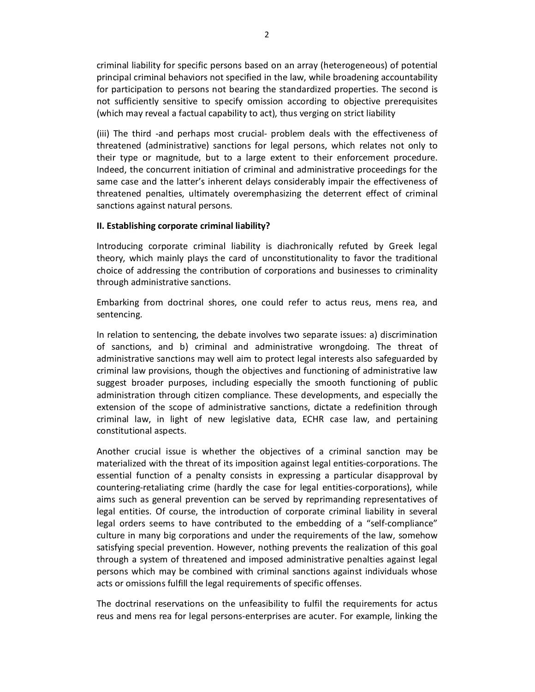criminal liability for specific persons based on an array (heterogeneous) of potential principal criminal behaviors not specified in the law, while broadening accountability for participation to persons not bearing the standardized properties. The second is not sufficiently sensitive to specify omission according to objective prerequisites (which may reveal a factual capability to act), thus verging on strict liability

(iii) The third -and perhaps most crucial- problem deals with the effectiveness of threatened (administrative) sanctions for legal persons, which relates not only to their type or magnitude, but to a large extent to their enforcement procedure. Indeed, the concurrent initiation of criminal and administrative proceedings for the same case and the latter's inherent delays considerably impair the effectiveness of threatened penalties, ultimately overemphasizing the deterrent effect of criminal sanctions against natural persons.

### **II. Establishing corporate criminal liability?**

Introducing corporate criminal liability is diachronically refuted by Greek legal theory, which mainly plays the card of unconstitutionality to favor the traditional choice of addressing the contribution of corporations and businesses to criminality through administrative sanctions.

Embarking from doctrinal shores, one could refer to actus reus, mens rea, and sentencing.

In relation to sentencing, the debate involves two separate issues: a) discrimination of sanctions, and b) criminal and administrative wrongdoing. The threat of administrative sanctions may well aim to protect legal interests also safeguarded by criminal law provisions, though the objectives and functioning of administrative law suggest broader purposes, including especially the smooth functioning of public administration through citizen compliance. These developments, and especially the extension of the scope of administrative sanctions, dictate a redefinition through criminal law, in light of new legislative data, ECHR case law, and pertaining constitutional aspects.

Another crucial issue is whether the objectives of a criminal sanction may be materialized with the threat of its imposition against legal entities-corporations. The essential function of a penalty consists in expressing a particular disapproval by countering-retaliating crime (hardly the case for legal entities-corporations), while aims such as general prevention can be served by reprimanding representatives of legal entities. Of course, the introduction of corporate criminal liability in several legal orders seems to have contributed to the embedding of a "self-compliance" culture in many big corporations and under the requirements of the law, somehow satisfying special prevention. However, nothing prevents the realization of this goal through a system of threatened and imposed administrative penalties against legal persons which may be combined with criminal sanctions against individuals whose acts or omissions fulfill the legal requirements of specific offenses.

The doctrinal reservations on the unfeasibility to fulfil the requirements for actus reus and mens rea for legal persons-enterprises are acuter. For example, linking the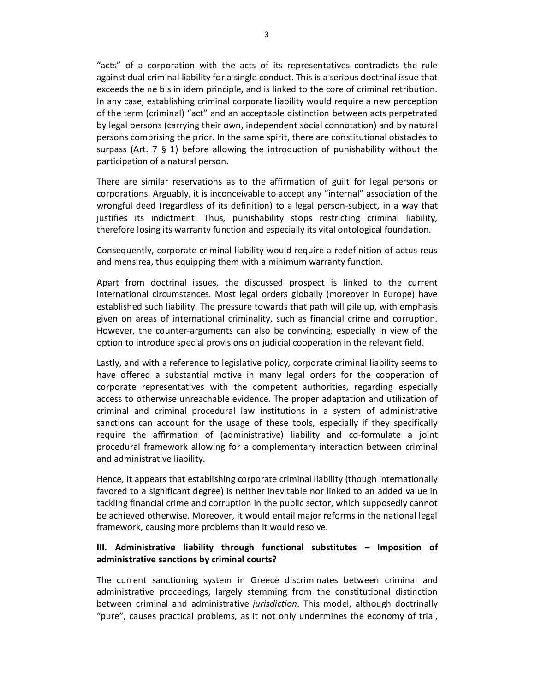"acts" of a corporation with the acts of its representatives contradicts the rule against dual criminal liability for a single conduct. This is a serious doctrinal issue that exceeds the ne bis in idem principle, and is linked to the core of criminal retribution. In any case, establishing criminal corporate liability would require a new perception of the term (criminal) "act" and an acceptable distinction between acts perpetrated by legal persons (carrying their own, independent social connotation) and by natural persons comprising the prior. In the same spirit, there are constitutional obstacles to surpass (Art. 7  $\S$  1) before allowing the introduction of punishability without the participation of a natural person.

There are similar reservations as to the affirmation of guilt for legal persons or corporations. Arguably, it is inconceivable to accept any "internal" association of the wrongful deed (regardless of its definition) to a legal person-subject, in a way that justifies its indictment. Thus, punishability stops restricting criminal liability, therefore losing its warranty function and especially its vital ontological foundation.

Consequently, corporate criminal liability would require a redefinition of actus reus and mens rea, thus equipping them with a minimum warranty function.

Apart from doctrinal issues, the discussed prospect is linked to the current international circumstances. Most legal orders globally (moreover in Europe) have established such liability. The pressure towards that path will pile up, with emphasis given on areas of international criminality, such as financial crime and corruption. However, the counter-arguments can also be convincing, especially in view of the option to introduce special provisions on judicial cooperation in the relevant field.

Lastly, and with a reference to legislative policy, corporate criminal liability seems to have offered a substantial motive in many legal orders for the cooperation of corporate representatives with the competent authorities, regarding especially access to otherwise unreachable evidence. The proper adaptation and utilization of criminal and criminal procedural law institutions in a system of administrative sanctions can account for the usage of these tools, especially if they specifically require the affirmation of (administrative) liability and co-formulate a joint procedural framework allowing for a complementary interaction between criminal and administrative liability.

Hence, it appears that establishing corporate criminal liability (though internationally favored to a significant degree) is neither inevitable nor linked to an added value in tackling financial crime and corruption in the public sector, which supposedly cannot be achieved otherwise. Moreover, it would entail major reforms in the national legal framework, causing more problems than it would resolve.

## **III. Administrative liability through functional substitutes – Imposition of administrative sanctions by criminal courts?**

The current sanctioning system in Greece discriminates between criminal and administrative proceedings, largely stemming from the constitutional distinction between criminal and administrative *jurisdiction*. This model, although doctrinally "pure", causes practical problems, as it not only undermines the economy of trial,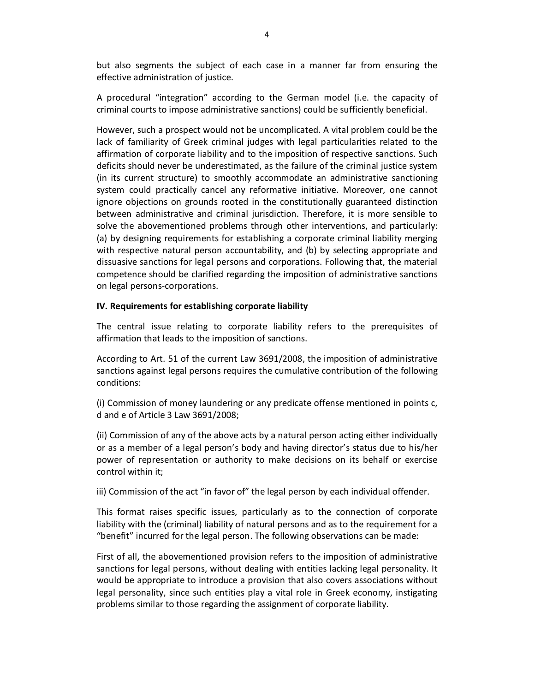but also segments the subject of each case in a manner far from ensuring the effective administration of justice.

A procedural "integration" according to the German model (i.e. the capacity of criminal courts to impose administrative sanctions) could be sufficiently beneficial.

However, such a prospect would not be uncomplicated. A vital problem could be the lack of familiarity of Greek criminal judges with legal particularities related to the affirmation of corporate liability and to the imposition of respective sanctions. Such deficits should never be underestimated, as the failure of the criminal justice system (in its current structure) to smoothly accommodate an administrative sanctioning system could practically cancel any reformative initiative. Moreover, one cannot ignore objections on grounds rooted in the constitutionally guaranteed distinction between administrative and criminal jurisdiction. Therefore, it is more sensible to solve the abovementioned problems through other interventions, and particularly: (a) by designing requirements for establishing a corporate criminal liability merging with respective natural person accountability, and (b) by selecting appropriate and dissuasive sanctions for legal persons and corporations. Following that, the material competence should be clarified regarding the imposition of administrative sanctions on legal persons-corporations.

### **IV. Requirements for establishing corporate liability**

The central issue relating to corporate liability refers to the prerequisites of affirmation that leads to the imposition of sanctions.

According to Art. 51 of the current Law 3691/2008, the imposition of administrative sanctions against legal persons requires the cumulative contribution of the following conditions:

(i) Commission of money laundering or any predicate offense mentioned in points c, d and e of Article 3 Law 3691/2008;

(ii) Commission of any of the above acts by a natural person acting either individually or as a member of a legal person's body and having director's status due to his/her power of representation or authority to make decisions on its behalf or exercise control within it;

iii) Commission of the act "in favor of" the legal person by each individual offender.

This format raises specific issues, particularly as to the connection of corporate liability with the (criminal) liability of natural persons and as to the requirement for a "benefit" incurred for the legal person. The following observations can be made:

First of all, the abovementioned provision refers to the imposition of administrative sanctions for legal persons, without dealing with entities lacking legal personality. It would be appropriate to introduce a provision that also covers associations without legal personality, since such entities play a vital role in Greek economy, instigating problems similar to those regarding the assignment of corporate liability.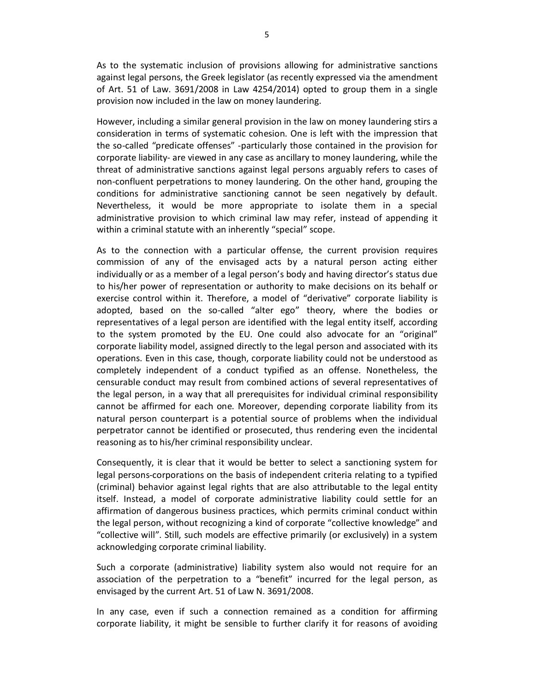As to the systematic inclusion of provisions allowing for administrative sanctions against legal persons, the Greek legislator (as recently expressed via the amendment of Art. 51 of Law. 3691/2008 in Law 4254/2014) opted to group them in a single provision now included in the law on money laundering.

However, including a similar general provision in the law on money laundering stirs a consideration in terms of systematic cohesion. One is left with the impression that the so-called "predicate offenses" -particularly those contained in the provision for corporate liability- are viewed in any case as ancillary to money laundering, while the threat of administrative sanctions against legal persons arguably refers to cases of non-confluent perpetrations to money laundering. On the other hand, grouping the conditions for administrative sanctioning cannot be seen negatively by default. Nevertheless, it would be more appropriate to isolate them in a special administrative provision to which criminal law may refer, instead of appending it within a criminal statute with an inherently "special" scope.

As to the connection with a particular offense, the current provision requires commission of any of the envisaged acts by a natural person acting either individually or as a member of a legal person's body and having director's status due to his/her power of representation or authority to make decisions on its behalf or exercise control within it. Therefore, a model of "derivative" corporate liability is adopted, based on the so-called "alter ego" theory, where the bodies or representatives of a legal person are identified with the legal entity itself, according to the system promoted by the EU. One could also advocate for an "original" corporate liability model, assigned directly to the legal person and associated with its operations. Even in this case, though, corporate liability could not be understood as completely independent of a conduct typified as an offense. Nonetheless, the censurable conduct may result from combined actions of several representatives of the legal person, in a way that all prerequisites for individual criminal responsibility cannot be affirmed for each one. Moreover, depending corporate liability from its natural person counterpart is a potential source of problems when the individual perpetrator cannot be identified or prosecuted, thus rendering even the incidental reasoning as to his/her criminal responsibility unclear.

Consequently, it is clear that it would be better to select a sanctioning system for legal persons-corporations on the basis of independent criteria relating to a typified (criminal) behavior against legal rights that are also attributable to the legal entity itself. Instead, a model of corporate administrative liability could settle for an affirmation of dangerous business practices, which permits criminal conduct within the legal person, without recognizing a kind of corporate "collective knowledge" and "collective will". Still, such models are effective primarily (or exclusively) in a system acknowledging corporate criminal liability.

Such a corporate (administrative) liability system also would not require for an association of the perpetration to a "benefit" incurred for the legal person, as envisaged by the current Art. 51 of Law N. 3691/2008.

In any case, even if such a connection remained as a condition for affirming corporate liability, it might be sensible to further clarify it for reasons of avoiding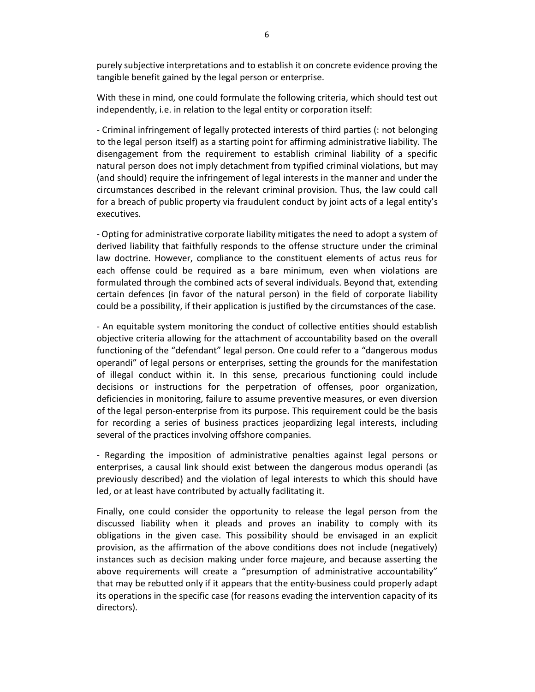purely subjective interpretations and to establish it on concrete evidence proving the tangible benefit gained by the legal person or enterprise.

With these in mind, one could formulate the following criteria, which should test out independently, i.e. in relation to the legal entity or corporation itself:

- Criminal infringement of legally protected interests of third parties (: not belonging to the legal person itself) as a starting point for affirming administrative liability. The disengagement from the requirement to establish criminal liability of a specific natural person does not imply detachment from typified criminal violations, but may (and should) require the infringement of legal interests in the manner and under the circumstances described in the relevant criminal provision. Thus, the law could call for a breach of public property via fraudulent conduct by joint acts of a legal entity's executives.

- Opting for administrative corporate liability mitigates the need to adopt a system of derived liability that faithfully responds to the offense structure under the criminal law doctrine. However, compliance to the constituent elements of actus reus for each offense could be required as a bare minimum, even when violations are formulated through the combined acts of several individuals. Beyond that, extending certain defences (in favor of the natural person) in the field of corporate liability could be a possibility, if their application is justified by the circumstances of the case.

- An equitable system monitoring the conduct of collective entities should establish objective criteria allowing for the attachment of accountability based on the overall functioning of the "defendant" legal person. One could refer to a "dangerous modus operandi" of legal persons or enterprises, setting the grounds for the manifestation of illegal conduct within it. In this sense, precarious functioning could include decisions or instructions for the perpetration of offenses, poor organization, deficiencies in monitoring, failure to assume preventive measures, or even diversion of the legal person-enterprise from its purpose. This requirement could be the basis for recording a series of business practices jeopardizing legal interests, including several of the practices involving offshore companies.

- Regarding the imposition of administrative penalties against legal persons or enterprises, a causal link should exist between the dangerous modus operandi (as previously described) and the violation of legal interests to which this should have led, or at least have contributed by actually facilitating it.

Finally, one could consider the opportunity to release the legal person from the discussed liability when it pleads and proves an inability to comply with its obligations in the given case. This possibility should be envisaged in an explicit provision, as the affirmation of the above conditions does not include (negatively) instances such as decision making under force majeure, and because asserting the above requirements will create a "presumption of administrative accountability" that may be rebutted only if it appears that the entity-business could properly adapt its operations in the specific case (for reasons evading the intervention capacity of its directors).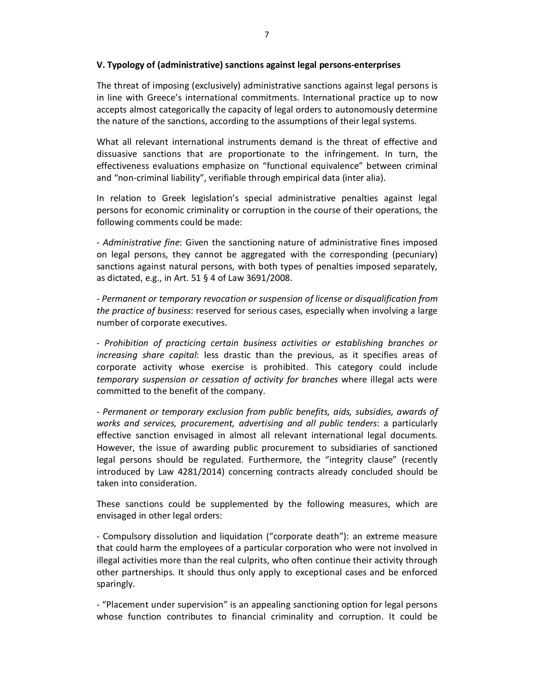### **V. Typology of (administrative) sanctions against legal persons-enterprises**

The threat of imposing (exclusively) administrative sanctions against legal persons is in line with Greece's international commitments. International practice up to now accepts almost categorically the capacity of legal orders to autonomously determine the nature of the sanctions, according to the assumptions of their legal systems.

What all relevant international instruments demand is the threat of effective and dissuasive sanctions that are proportionate to the infringement. In turn, the effectiveness evaluations emphasize on "functional equivalence" between criminal and "non-criminal liability", verifiable through empirical data (inter alia).

In relation to Greek legislation's special administrative penalties against legal persons for economic criminality or corruption in the course of their operations, the following comments could be made:

- *Administrative fine*: Given the sanctioning nature of administrative fines imposed on legal persons, they cannot be aggregated with the corresponding (pecuniary) sanctions against natural persons, with both types of penalties imposed separately, as dictated, e.g., in Art. 51 § 4 of Law 3691/2008.

- *Permanent or temporary revocation or suspension of license or disqualification from the practice of business*: reserved for serious cases, especially when involving a large number of corporate executives.

- *Prohibition of practicing certain business activities or establishing branches or increasing share capital*: less drastic than the previous, as it specifies areas of corporate activity whose exercise is prohibited. This category could include *temporary suspension or cessation of activity for branches* where illegal acts were committed to the benefit of the company.

- *Permanent or temporary exclusion from public benefits, aids, subsidies, awards of works and services, procurement, advertising and all public tenders*: a particularly effective sanction envisaged in almost all relevant international legal documents. However, the issue of awarding public procurement to subsidiaries of sanctioned legal persons should be regulated. Furthermore, the "integrity clause" (recently introduced by Law 4281/2014) concerning contracts already concluded should be taken into consideration.

These sanctions could be supplemented by the following measures, which are envisaged in other legal orders:

- Compulsory dissolution and liquidation ("corporate death"): an extreme measure that could harm the employees of a particular corporation who were not involved in illegal activities more than the real culprits, who often continue their activity through other partnerships. It should thus only apply to exceptional cases and be enforced sparingly.

- "Placement under supervision" is an appealing sanctioning option for legal persons whose function contributes to financial criminality and corruption. It could be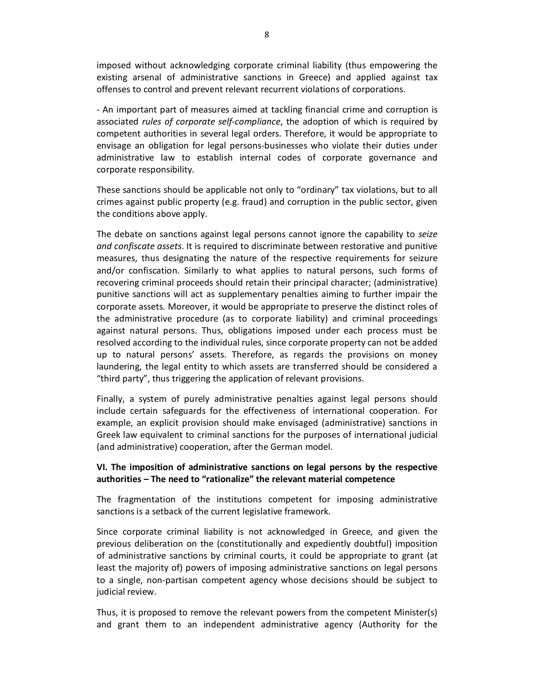imposed without acknowledging corporate criminal liability (thus empowering the existing arsenal of administrative sanctions in Greece) and applied against tax offenses to control and prevent relevant recurrent violations of corporations.

- An important part of measures aimed at tackling financial crime and corruption is associated *rules of corporate self-compliance*, the adoption of which is required by competent authorities in several legal orders. Therefore, it would be appropriate to envisage an obligation for legal persons-businesses who violate their duties under administrative law to establish internal codes of corporate governance and corporate responsibility.

These sanctions should be applicable not only to "ordinary" tax violations, but to all crimes against public property (e.g. fraud) and corruption in the public sector, given the conditions above apply.

The debate on sanctions against legal persons cannot ignore the capability to *seize and confiscate assets*. It is required to discriminate between restorative and punitive measures, thus designating the nature of the respective requirements for seizure and/or confiscation. Similarly to what applies to natural persons, such forms of recovering criminal proceeds should retain their principal character; (administrative) punitive sanctions will act as supplementary penalties aiming to further impair the corporate assets. Moreover, it would be appropriate to preserve the distinct roles of the administrative procedure (as to corporate liability) and criminal proceedings against natural persons. Thus, obligations imposed under each process must be resolved according to the individual rules, since corporate property can not be added up to natural persons' assets. Therefore, as regards the provisions on money laundering, the legal entity to which assets are transferred should be considered a "third party", thus triggering the application of relevant provisions.

Finally, a system of purely administrative penalties against legal persons should include certain safeguards for the effectiveness of international cooperation. For example, an explicit provision should make envisaged (administrative) sanctions in Greek law equivalent to criminal sanctions for the purposes of international judicial (and administrative) cooperation, after the German model.

### **VI. The imposition of administrative sanctions on legal persons by the respective authorities – The need to "rationalize" the relevant material competence**

The fragmentation of the institutions competent for imposing administrative sanctions is a setback of the current legislative framework.

Since corporate criminal liability is not acknowledged in Greece, and given the previous deliberation on the (constitutionally and expediently doubtful) imposition of administrative sanctions by criminal courts, it could be appropriate to grant (at least the majority of) powers of imposing administrative sanctions on legal persons to a single, non-partisan competent agency whose decisions should be subject to judicial review.

Thus, it is proposed to remove the relevant powers from the competent Minister(s) and grant them to an independent administrative agency (Authority for the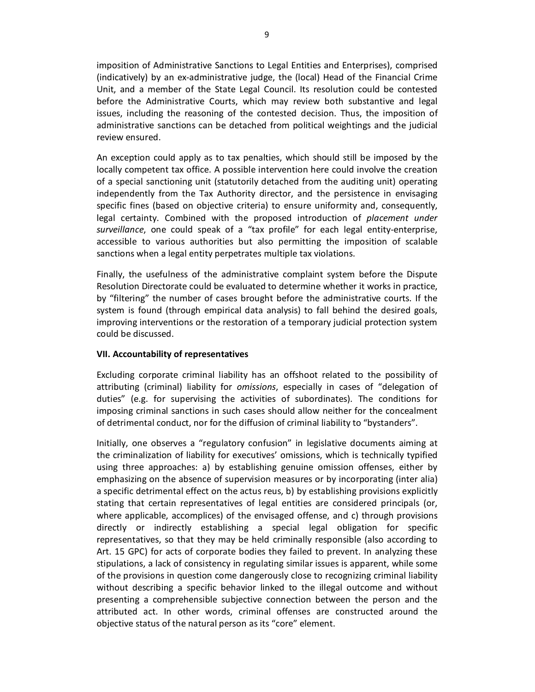imposition of Administrative Sanctions to Legal Entities and Enterprises), comprised (indicatively) by an ex-administrative judge, the (local) Head of the Financial Crime Unit, and a member of the State Legal Council. Its resolution could be contested before the Administrative Courts, which may review both substantive and legal issues, including the reasoning of the contested decision. Thus, the imposition of administrative sanctions can be detached from political weightings and the judicial review ensured.

An exception could apply as to tax penalties, which should still be imposed by the locally competent tax office. A possible intervention here could involve the creation of a special sanctioning unit (statutorily detached from the auditing unit) operating independently from the Tax Authority director, and the persistence in envisaging specific fines (based on objective criteria) to ensure uniformity and, consequently, legal certainty. Combined with the proposed introduction of *placement under surveillance*, one could speak of a "tax profile" for each legal entity-enterprise, accessible to various authorities but also permitting the imposition of scalable sanctions when a legal entity perpetrates multiple tax violations.

Finally, the usefulness of the administrative complaint system before the Dispute Resolution Directorate could be evaluated to determine whether it works in practice, by "filtering" the number of cases brought before the administrative courts. If the system is found (through empirical data analysis) to fall behind the desired goals, improving interventions or the restoration of a temporary judicial protection system could be discussed.

### **VII. Accountability of representatives**

Excluding corporate criminal liability has an offshoot related to the possibility of attributing (criminal) liability for *omissions*, especially in cases of "delegation of duties" (e.g. for supervising the activities of subordinates). The conditions for imposing criminal sanctions in such cases should allow neither for the concealment of detrimental conduct, nor for the diffusion of criminal liability to "bystanders".

Initially, one observes a "regulatory confusion" in legislative documents aiming at the criminalization of liability for executives' omissions, which is technically typified using three approaches: a) by establishing genuine omission offenses, either by emphasizing on the absence of supervision measures or by incorporating (inter alia) a specific detrimental effect on the actus reus, b) by establishing provisions explicitly stating that certain representatives of legal entities are considered principals (or, where applicable, accomplices) of the envisaged offense, and c) through provisions directly or indirectly establishing a special legal obligation for specific representatives, so that they may be held criminally responsible (also according to Art. 15 GPC) for acts of corporate bodies they failed to prevent. In analyzing these stipulations, a lack of consistency in regulating similar issues is apparent, while some of the provisions in question come dangerously close to recognizing criminal liability without describing a specific behavior linked to the illegal outcome and without presenting a comprehensible subjective connection between the person and the attributed act. In other words, criminal offenses are constructed around the objective status of the natural person as its "core" element.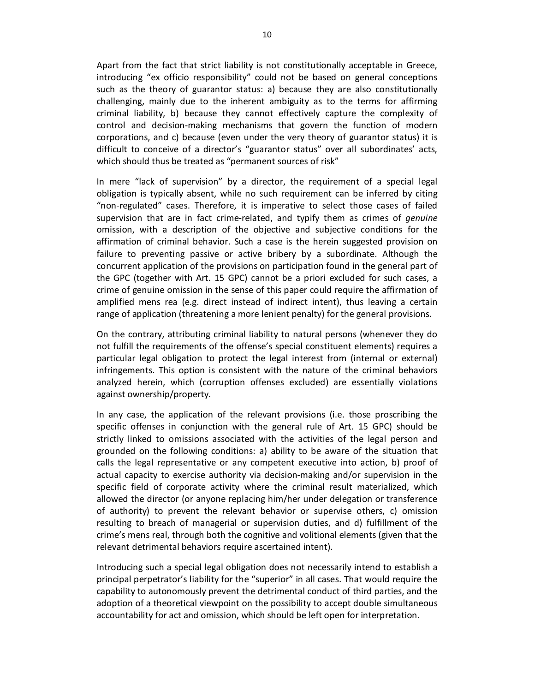Apart from the fact that strict liability is not constitutionally acceptable in Greece, introducing "ex officio responsibility" could not be based on general conceptions such as the theory of guarantor status: a) because they are also constitutionally challenging, mainly due to the inherent ambiguity as to the terms for affirming criminal liability, b) because they cannot effectively capture the complexity of control and decision-making mechanisms that govern the function of modern corporations, and c) because (even under the very theory of guarantor status) it is difficult to conceive of a director's "guarantor status" over all subordinates' acts, which should thus be treated as "permanent sources of risk"

In mere "lack of supervision" by a director, the requirement of a special legal obligation is typically absent, while no such requirement can be inferred by citing "non-regulated" cases. Therefore, it is imperative to select those cases of failed supervision that are in fact crime-related, and typify them as crimes of *genuine* omission, with a description of the objective and subjective conditions for the affirmation of criminal behavior. Such a case is the herein suggested provision on failure to preventing passive or active bribery by a subordinate. Although the concurrent application of the provisions on participation found in the general part of the GPC (together with Art. 15 GPC) cannot be a priori excluded for such cases, a crime of genuine omission in the sense of this paper could require the affirmation of amplified mens rea (e.g. direct instead of indirect intent), thus leaving a certain range of application (threatening a more lenient penalty) for the general provisions.

On the contrary, attributing criminal liability to natural persons (whenever they do not fulfill the requirements of the offense's special constituent elements) requires a particular legal obligation to protect the legal interest from (internal or external) infringements. This option is consistent with the nature of the criminal behaviors analyzed herein, which (corruption offenses excluded) are essentially violations against ownership/property.

In any case, the application of the relevant provisions (i.e. those proscribing the specific offenses in conjunction with the general rule of Art. 15 GPC) should be strictly linked to omissions associated with the activities of the legal person and grounded on the following conditions: a) ability to be aware of the situation that calls the legal representative or any competent executive into action, b) proof of actual capacity to exercise authority via decision-making and/or supervision in the specific field of corporate activity where the criminal result materialized, which allowed the director (or anyone replacing him/her under delegation or transference of authority) to prevent the relevant behavior or supervise others, c) omission resulting to breach of managerial or supervision duties, and d) fulfillment of the crime's mens real, through both the cognitive and volitional elements (given that the relevant detrimental behaviors require ascertained intent).

Introducing such a special legal obligation does not necessarily intend to establish a principal perpetrator's liability for the "superior" in all cases. That would require the capability to autonomously prevent the detrimental conduct of third parties, and the adoption of a theoretical viewpoint on the possibility to accept double simultaneous accountability for act and omission, which should be left open for interpretation.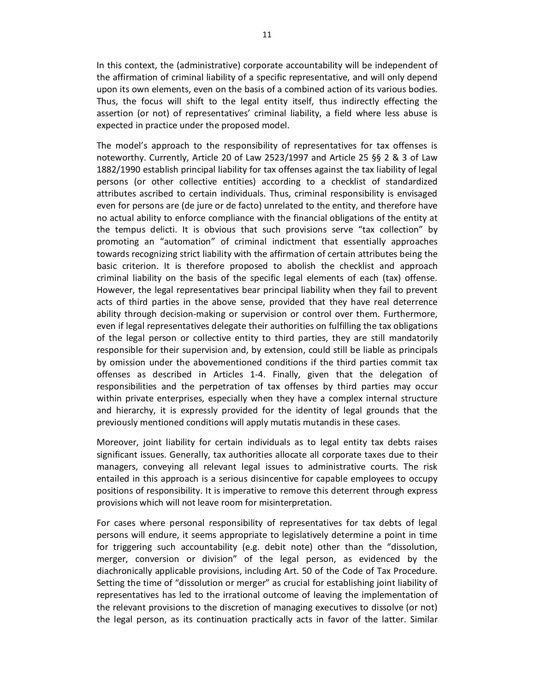In this context, the (administrative) corporate accountability will be independent of the affirmation of criminal liability of a specific representative, and will only depend upon its own elements, even on the basis of a combined action of its various bodies. Thus, the focus will shift to the legal entity itself, thus indirectly effecting the assertion (or not) of representatives' criminal liability, a field where less abuse is expected in practice under the proposed model.

The model's approach to the responsibility of representatives for tax offenses is noteworthy. Currently, Article 20 of Law 2523/1997 and Article 25 §§ 2 & 3 of Law 1882/1990 establish principal liability for tax offenses against the tax liability of legal persons (or other collective entities) according to a checklist of standardized attributes ascribed to certain individuals. Thus, criminal responsibility is envisaged even for persons are (de jure or de facto) unrelated to the entity, and therefore have no actual ability to enforce compliance with the financial obligations of the entity at the tempus delicti. It is obvious that such provisions serve "tax collection" by promoting an "automation" of criminal indictment that essentially approaches towards recognizing strict liability with the affirmation of certain attributes being the basic criterion. It is therefore proposed to abolish the checklist and approach criminal liability on the basis of the specific legal elements of each (tax) offense. However, the legal representatives bear principal liability when they fail to prevent acts of third parties in the above sense, provided that they have real deterrence ability through decision-making or supervision or control over them. Furthermore, even if legal representatives delegate their authorities on fulfilling the tax obligations of the legal person or collective entity to third parties, they are still mandatorily responsible for their supervision and, by extension, could still be liable as principals by omission under the abovementioned conditions if the third parties commit tax offenses as described in Articles 1-4. Finally, given that the delegation of responsibilities and the perpetration of tax offenses by third parties may occur within private enterprises, especially when they have a complex internal structure and hierarchy, it is expressly provided for the identity of legal grounds that the previously mentioned conditions will apply mutatis mutandis in these cases.

Moreover, joint liability for certain individuals as to legal entity tax debts raises significant issues. Generally, tax authorities allocate all corporate taxes due to their managers, conveying all relevant legal issues to administrative courts. The risk entailed in this approach is a serious disincentive for capable employees to occupy positions of responsibility. It is imperative to remove this deterrent through express provisions which will not leave room for misinterpretation.

For cases where personal responsibility of representatives for tax debts of legal persons will endure, it seems appropriate to legislatively determine a point in time for triggering such accountability (e.g. debit note) other than the "dissolution, merger, conversion or division" of the legal person, as evidenced by the diachronically applicable provisions, including Art. 50 of the Code of Tax Procedure. Setting the time of "dissolution or merger" as crucial for establishing joint liability of representatives has led to the irrational outcome of leaving the implementation of the relevant provisions to the discretion of managing executives to dissolve (or not) the legal person, as its continuation practically acts in favor of the latter. Similar